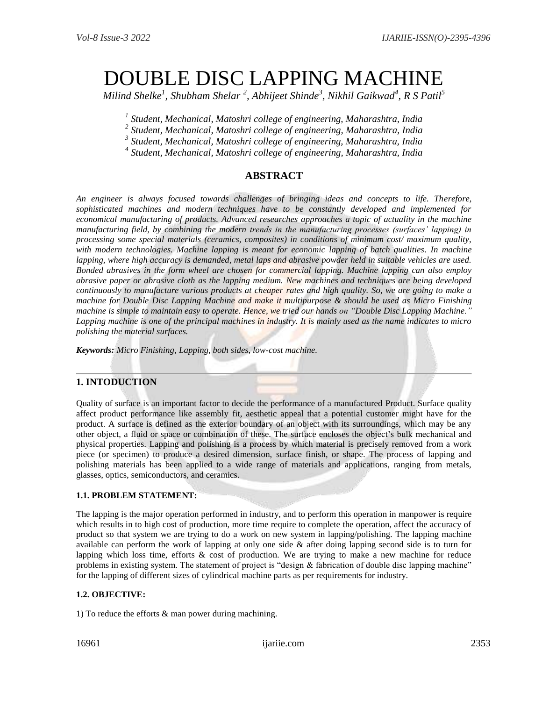# DOUBLE DISC LAPPING MACHINE

*Milind Shelke<sup>1</sup> , Shubham Shelar <sup>2</sup> , Abhijeet Shinde<sup>3</sup> , Nikhil Gaikwad<sup>4</sup> , R S Patil<sup>5</sup>*

*1 Student, Mechanical, Matoshri college of engineering, Maharashtra, India*

*2 Student, Mechanical, Matoshri college of engineering, Maharashtra, India*

*3 Student, Mechanical, Matoshri college of engineering, Maharashtra, India*

*4 Student, Mechanical, Matoshri college of engineering, Maharashtra, India*

# **ABSTRACT**

*An engineer is always focused towards challenges of bringing ideas and concepts to life. Therefore, sophisticated machines and modern techniques have to be constantly developed and implemented for economical manufacturing of products. Advanced researches approaches a topic of actuality in the machine manufacturing field, by combining the modern trends in the manufacturing processes (surfaces' lapping) in processing some special materials (ceramics, composites) in conditions of minimum cost/ maximum quality, with modern technologies. Machine lapping is meant for economic lapping of batch qualities. In machine lapping, where high accuracy is demanded, metal laps and abrasive powder held in suitable vehicles are used. Bonded abrasives in the form wheel are chosen for commercial lapping. Machine lapping can also employ abrasive paper or abrasive cloth as the lapping medium. New machines and techniques are being developed continuously to manufacture various products at cheaper rates and high quality. So, we are going to make a machine for Double Disc Lapping Machine and make it multipurpose & should be used as Micro Finishing machine is simple to maintain easy to operate. Hence, we tried our hands on "Double Disc Lapping Machine." Lapping machine is one of the principal machines in industry. It is mainly used as the name indicates to micro polishing the material surfaces.*

*Keywords: Micro Finishing, Lapping, both sides, low-cost machine.*

# **1. INTODUCTION**

Quality of surface is an important factor to decide the performance of a manufactured Product. Surface quality affect product performance like assembly fit, aesthetic appeal that a potential customer might have for the product. A surface is defined as the exterior boundary of an object with its surroundings, which may be any other object, a fluid or space or combination of these. The surface encloses the object's bulk mechanical and physical properties. Lapping and polishing is a process by which material is precisely removed from a work piece (or specimen) to produce a desired dimension, surface finish, or shape. The process of lapping and polishing materials has been applied to a wide range of materials and applications, ranging from metals, glasses, optics, semiconductors, and ceramics.

## **1.1. PROBLEM STATEMENT:**

The lapping is the major operation performed in industry, and to perform this operation in manpower is require which results in to high cost of production, more time require to complete the operation, affect the accuracy of product so that system we are trying to do a work on new system in lapping/polishing. The lapping machine available can perform the work of lapping at only one side & after doing lapping second side is to turn for lapping which loss time, efforts & cost of production. We are trying to make a new machine for reduce problems in existing system. The statement of project is "design & fabrication of double disc lapping machine" for the lapping of different sizes of cylindrical machine parts as per requirements for industry.

#### **1.2. OBJECTIVE:**

1) To reduce the efforts & man power during machining.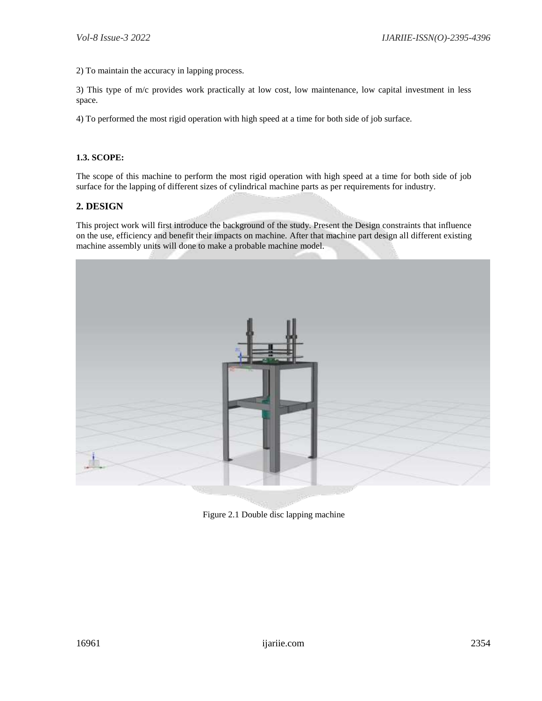2) To maintain the accuracy in lapping process.

3) This type of m/c provides work practically at low cost, low maintenance, low capital investment in less space.

4) To performed the most rigid operation with high speed at a time for both side of job surface.

#### **1.3. SCOPE:**

The scope of this machine to perform the most rigid operation with high speed at a time for both side of job surface for the lapping of different sizes of cylindrical machine parts as per requirements for industry.

## **2. DESIGN**

This project work will first introduce the background of the study. Present the Design constraints that influence on the use, efficiency and benefit their impacts on machine. After that machine part design all different existing machine assembly units will done to make a probable machine model.



Figure 2.1 Double disc lapping machine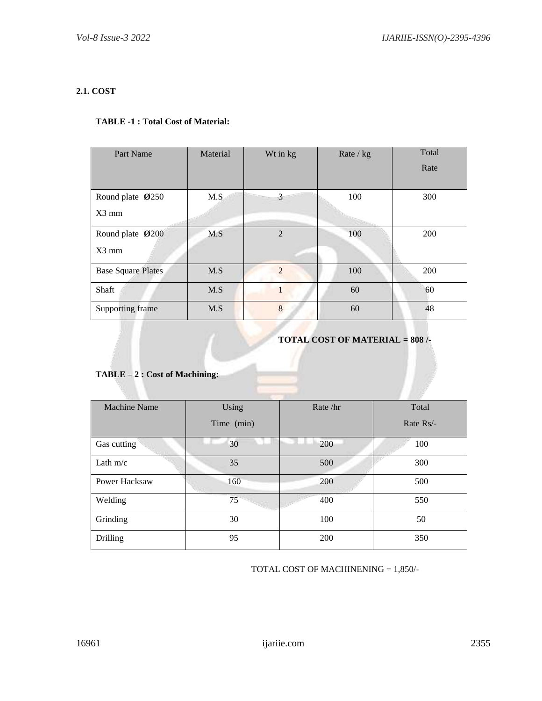# **2.1. COST**

## **TABLE -1 : Total Cost of Material:**

| Part Name                 | Material | Wt in kg       | Rate $/kg$ | Total |
|---------------------------|----------|----------------|------------|-------|
|                           |          |                |            | Rate  |
|                           |          |                |            |       |
| Round plate Ø250          | M.S      | 3              | 100        | 300   |
| $X3$ mm                   |          |                |            |       |
| Round plate Ø200          | M.S      | $\overline{2}$ | 100        | 200   |
| $X3$ mm                   |          |                |            |       |
| <b>Base Square Plates</b> | M.S      | $\mathcal{D}$  | 100        | 200   |
| Shaft                     | M.S      |                | 60         | 60    |
| Supporting frame          | M.S      | 8              | 60         | 48    |

## **TOTAL COST OF MATERIAL = 808 /-**

# **TABLE – 2 : Cost of Machining:**

| <b>Machine Name</b> | Using      | Rate/hr | Total       |
|---------------------|------------|---------|-------------|
|                     | Time (min) |         | Rate $Rs/-$ |
| Gas cutting         | 30         | 200     | 100         |
| Lath $m/c$          | 35         | 500     | 300         |
| Power Hacksaw       | 160        | 200     | 500         |
| Welding             | 75         | 400     | 550         |
| Grinding            | 30         | 100     | 50          |
| <b>Drilling</b>     | 95         | 200     | 350         |

TOTAL COST OF MACHINENING = 1,850/-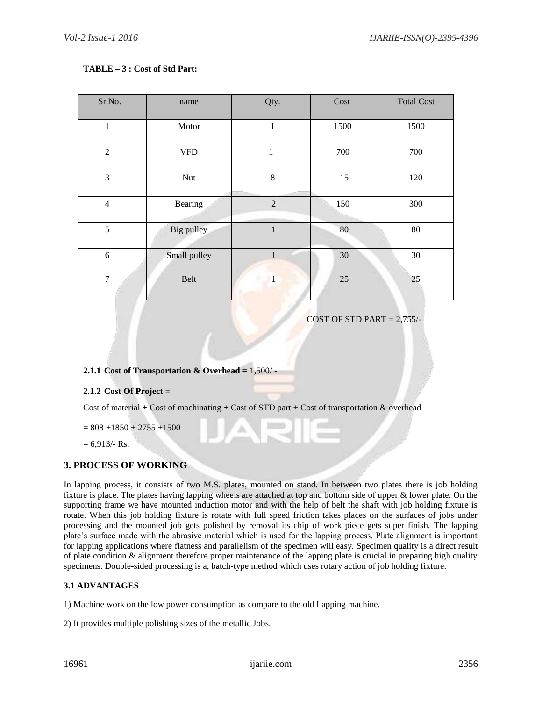#### **TABLE – 3 : Cost of Std Part:**

| Sr.No.         | name         | Qty.           | Cost | <b>Total Cost</b> |
|----------------|--------------|----------------|------|-------------------|
| $\mathbf{1}$   | Motor        | $\mathbf{1}$   | 1500 | 1500              |
| $\overline{2}$ | <b>VFD</b>   | 1              | 700  | 700               |
| 3              | Nut          | 8              | 15   | 120               |
| $\overline{4}$ | Bearing      | $\overline{2}$ | 150  | 300               |
| 5              | Big pulley   | $\mathbf{1}$   | 80   | $80\,$            |
| 6              | Small pulley | 1              | 30   | 30                |
| $\overline{7}$ | Belt         | 1              | 25   | 25                |

COST OF STD PART  $= 2,755/$ -

## **2.1.1 Cost of Transportation & Overhead =** 1,500/ -

## **2.1.2 Cost Of Project =**

Cost of material **+** Cost of machinating **+** Cast of STD part + Cost of transportation & overhead

 $= 808 + 1850 + 2755 + 1500$ 

 $= 6,913/$ - Rs.

## **3. PROCESS OF WORKING**

In lapping process, it consists of two M.S. plates, mounted on stand. In between two plates there is job holding fixture is place. The plates having lapping wheels are attached at top and bottom side of upper & lower plate. On the supporting frame we have mounted induction motor and with the help of belt the shaft with job holding fixture is rotate. When this job holding fixture is rotate with full speed friction takes places on the surfaces of jobs under processing and the mounted job gets polished by removal its chip of work piece gets super finish. The lapping plate's surface made with the abrasive material which is used for the lapping process. Plate alignment is important for lapping applications where flatness and parallelism of the specimen will easy. Specimen quality is a direct result of plate condition & alignment therefore proper maintenance of the lapping plate is crucial in preparing high quality specimens. Double-sided processing is a, batch-type method which uses rotary action of job holding fixture.

#### **3.1 ADVANTAGES**

1) Machine work on the low power consumption as compare to the old Lapping machine.

2) It provides multiple polishing sizes of the metallic Jobs.